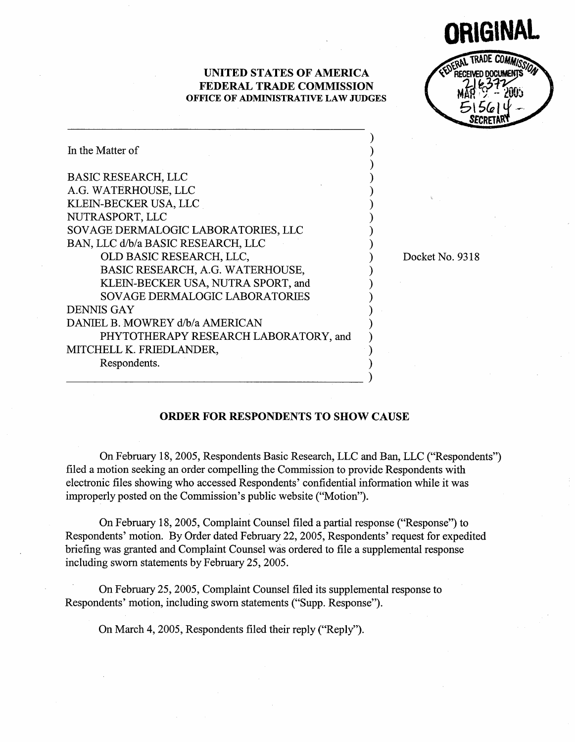UNITED STATES OF AMERICA FEDERAL TRADE COMMISSION OFFICE OF ADMINISTRATIVE LAW JUDGES

IGII TRADE COMMISS RECEIVED DOCUMENTS  $-$  cover  $515614 -$ SECRE

| In the Matter of                      |  |
|---------------------------------------|--|
| <b>BASIC RESEARCH, LLC</b>            |  |
| A.G. WATERHOUSE, LLC                  |  |
| KLEIN-BECKER USA, LLC                 |  |
| NUTRASPORT, LLC                       |  |
| SOVAGE DERMALOGIC LABORATORIES, LLC   |  |
| BAN, LLC d/b/a BASIC RESEARCH, LLC    |  |
| OLD BASIC RESEARCH, LLC,              |  |
| BASIC RESEARCH, A.G. WATERHOUSE,      |  |
| KLEIN-BECKER USA, NUTRA SPORT, and    |  |
| <b>SOVAGE DERMALOGIC LABORATORIES</b> |  |
| <b>DENNIS GAY</b>                     |  |
| DANIEL B. MOWREY d/b/a AMERICAN       |  |
| PHYTOTHERAPY RESEARCH LABORATORY, and |  |
| MITCHELL K. FRIEDLANDER,              |  |
| Respondents.                          |  |
|                                       |  |

Docket No. 9318

## ORDER FOR RESPONDENTS TO SHOW CAUSE

On February 18, 2005, Respondents Basic Research, LLC and Ban, LLC ("Respondents") fied a motion seeking an order compelling the Commission to provide Respondents with electronic fies showing who accessed Respondents' confidential information while it was improperly posted on the Commission's public website ("Motion").

On February 18, 2005, Complaint Counsel filed a partial response ("Response") to Respondents' motion. By Order dated February 22, 2005, Respondents' request for expedited briefing was granted and Complaint Counsel was ordered to file a supplemental response including sworn statements by February 25, 2005.

On February 25, 2005, Complaint Counsel filed its supplemental response to Respondents' motion, including sworn statements ("Supp. Response

On March 4, 2005, Respondents filed their reply ("Reply").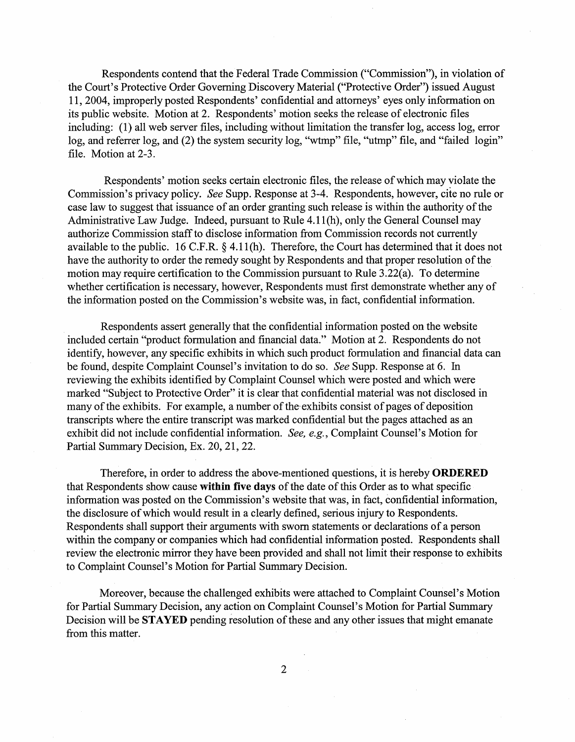Respondents contend that the Federal Trade Commission ("Commission ), in violation of the Court's Protective Order Governing Discovery Material ("Protective Order") issued August 2004, improperly posted Respondents' confidential and attorneys ' eyes only information on its public website. Motion at 2. Respondents' motion seeks the release of electronic files including: (1) all web server files, including without limitation the transfer log, access log, error log, and referrer log, and (2) the system security log, "wtmp" file, "utmp" file, and "failed login file. Motion at 2-3.

Respondents' motion seeks certain electronic files, the release of which may violate the Commission's privacy policy. See Supp. Response at 3-4. Respondents, however, cite no rule or case Jaw to suggest that issuance of an order granting such release is within the authority of the Administrative Law Judge. Indeed, pursuant to Rule 4.11(h), only the General Counsel may authorize Commission staff to disclose information trom Commission records not currently available to the public. 16 C.F.R.  $\S$  4.11(h). Therefore, the Court has determined that it does not have the authority to order the remedy sought by Respondents and that proper resolution of the motion may require certification to the Commission pursuant to Rule 3.22(a). To determine whether certification is necessary, however, Respondents must first demonstrate whether any of the information posted on the Commission's website was, in fact, confidential information.

Respondents assert generally that the confidential information posted on the website included certain "product formulation and financial data." Motion at 2. Respondents do not identify, however, any specific exhibits in which such product formulation and financial data can be found, despite Complaint Counsel's invitation to do so. See Supp. Response at 6. In reviewing the exhibits identified by Complaint Counsel which were posted and which were marked "Subject to Protective Order" it is clear that confidential material was not disclosed in many of the exhibits. For example, a number of the exhibits consist of pages of deposition transcripts where the entire transcript was marked confidentiaJ but the pages attached as an exhibit did not include confidential information. See, e.g., Complaint Counsel's Motion for Partial Summary Decision, Ex. 20, 21, 22.

Therefore, in order to address the above-mentioned questions, it is hereby **ORDERED** that Respondents show cause within five days of the date of this Order as to what specific information was posted on the Commission's website that was, in fact, confidential information, the disclosure of which would result in a clearly defined, serious injury to Respondents. Respondents shall support their arguments with sworn statements or declarations of a person within the company or companies which had confidential information posted. Respondents shall review the electronic mirror they have been provided and shall not limit their response to exhibits to Complaint Counsel's Motion for Partial Summary Decision.

Moreover, because the challenged exhibits were attached to Complaint Counsel's Motion for Partial Summary Decision, any action on Complaint Counsel's Motion for Partial Summary Decision will be **STAYED** pending resolution of these and any other issues that might emanate from this matter.